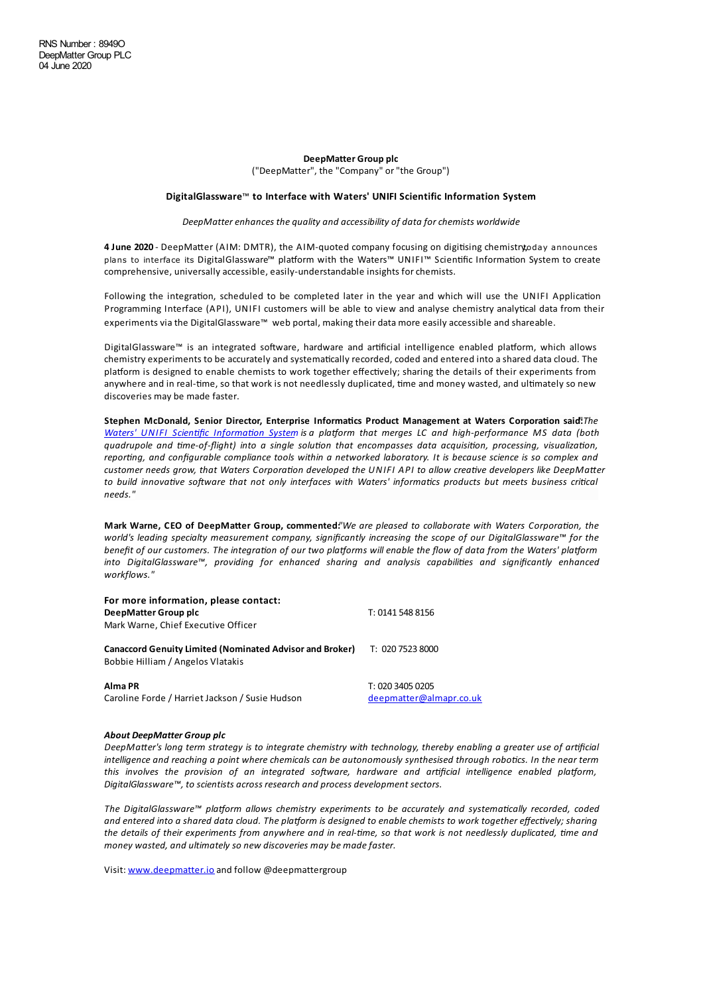## **DeepMatter Group plc** ("DeepMatter", the "Company" or"the Group")

## **DigitalGlassware**™ **to Interface with Waters' UNIFI Scientific Information System**

## *DeepMatterenhances the quality and accessibility of data forchemists worldwide*

4 June 2020 - DeepMatter (AIM: DMTR), the AIM-quoted company focusing on digitising chemistryt,oday announces plans to interface its DigitalGlassware™ platform with the Waters™ UNIFI™ Scientific Information System to create comprehensive, universally accessible, easily-understandable insights for chemists.

Following the integration, scheduled to be completed later in the year and which will use the UNIFI Application Programming Interface (API), UNIFI customers will be able to view and analyse chemistry analytical data from their experiments via the DigitalGlassware™ web portal, making their data more easily accessible and shareable.

DigitalGlassware™ is an integrated software, hardware and artificial intelligence enabled platform, which allows chemistry experiments to be accurately and systematically recorded, coded and entered into a shared data cloud. The platform is designed to enable chemists to work together effectively; sharing the details of their experiments from anywhere and in real-time, so that work is not needlessly duplicated, time and money wasted, and ultimately so new discoveries may be made faster.

**Stephen McDonald, Senior Director, Enterprise Informa%cs Product Management at Waters Corpora%on said**"**:***The Waters' UNIFI Scien fic [Informa on](https://www.waters.com/waters/en_US/UNIFI-Scientific-Information-System/nav.htm?cid=134801648&locale=101) System is a pla"orm that merges LC and high-performance MS data (both quadrupole and me-of-flight) into a single solu on that encompasses data acquisi on, processing, visualiza on,* reporting, and configurable compliance tools within a networked laboratory. It is because science is so complex and *customer* needs grow, that Waters Corporation developed the UNIFI API to allow creative developers like DeepMatter *to build innovative software that not only interfaces* with *Waters' informatics products but meets business critical needs."*

**Mark Warne, CEO of DeepMa+er Group, commented:***"We are pleased to collaborate with Waters Corpora on, the world's leading specialty measurement company, significantly increasing the scope of our DigitalGlassware™ for the* benefit of our customers. The integration of our two platforms will enable the flow of data from the Waters' platform *into DigitalGlassware™, providing for enhanced sharing and analysis capabili es and significantly enhanced workflows."*

| For more information, please contact:<br>DeepMatter Group plc<br>Mark Warne, Chief Executive Officer | T: 0141 548 8156 |
|------------------------------------------------------------------------------------------------------|------------------|
| <b>Canaccord Genuity Limited (Nominated Advisor and Broker)</b><br>Bobbie Hilliam / Angelos Vlatakis | T: 020 7523 8000 |
| Alma PR                                                                                              | T: 020 3405 0205 |

Caroline Forde / Harriet Jackson / Susie Hudson [deepmatter@almapr.co.uk](mailto:deepmatter@almapr.co.uk)

## *About DeepMatter Group plc*

DeepMatter's lona term strateav is to intearate chemistry with technoloay, thereby enablina a areater use of artificial intelligence and reaching a point where chemicals can be autonomously synthesised through robotics. In the near term *this involves* the *provision* of an *integrated* software, *hardware* and artificial *intelligence enabled platform*, *DigitalGlassware™, to scientists across research and process development sectors.*

*The DigitalGlassware™ pla"orm allows chemistry experiments to be accurately and systema cally recorded, coded* and entered into a shared data cloud. The platform is designed to enable chemists to work together effectively; sharing the details of their experiments from anywhere and in real-time, so that work is not needlessly duplicated, time and *money wasted, and ultimately so new discoveries may be madefaster.*

Visit: [www.deepmatter.io](https://www.deepmatter.io/) and follow @deepmattergroup